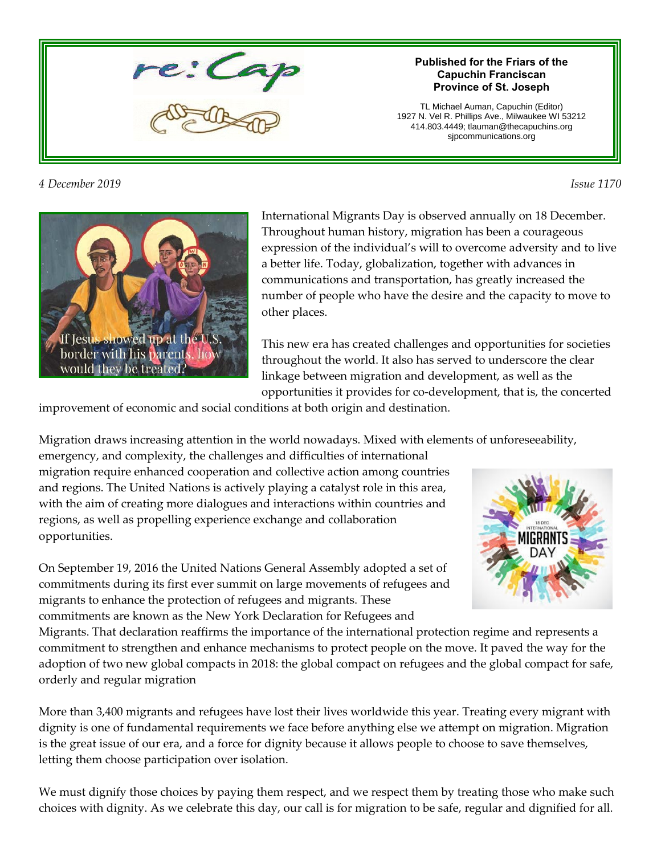

#### *4 December 2019 Issue 1170*

#### **Published for the Friars of the Capuchin Franciscan Province of St. Joseph**

TL Michael Auman, Capuchin (Editor) 1927 N. Vel R. Phillips Ave., Milwaukee WI 53212 414.803.4449; tlauman@thecapuchins.org sjpcommunications.org



International Migrants Day is observed annually on 18 December. Throughout human history, migration has been a courageous expression of the individual's will to overcome adversity and to live a better life. Today, globalization, together with advances in communications and transportation, has greatly increased the number of people who have the desire and the capacity to move to other places.

This new era has created challenges and opportunities for societies throughout the world. It also has served to underscore the clear linkage between migration and development, as well as the opportunities it provides for co-development, that is, the concerted

improvement of economic and social conditions at both origin and destination.

Migration draws increasing attention in the world nowadays. Mixed with elements of unforeseeability,

emergency, and complexity, the challenges and difficulties of international migration require enhanced cooperation and collective action among countries and regions. The United Nations is actively playing a catalyst role in this area, with the aim of creating more dialogues and interactions within countries and regions, as well as propelling experience exchange and collaboration opportunities.

On September 19, 2016 the United Nations General Assembly adopted a set of commitments during its first ever summit on large movements of refugees and migrants to enhance the protection of refugees and migrants. These commitments are known as the New York Declaration for Refugees and



Migrants. That declaration reaffirms the importance of the international protection regime and represents a commitment to strengthen and enhance mechanisms to protect people on the move. It paved the way for the adoption of two new global compacts in 2018: the global compact on refugees and the global compact for safe, orderly and regular migration

More than 3,400 migrants and refugees have lost their lives worldwide this year. Treating every migrant with dignity is one of fundamental requirements we face before anything else we attempt on migration. Migration is the great issue of our era, and a force for dignity because it allows people to choose to save themselves, letting them choose participation over isolation.

We must dignify those choices by paying them respect, and we respect them by treating those who make such choices with dignity. As we celebrate this day, our call is for migration to be safe, regular and dignified for all.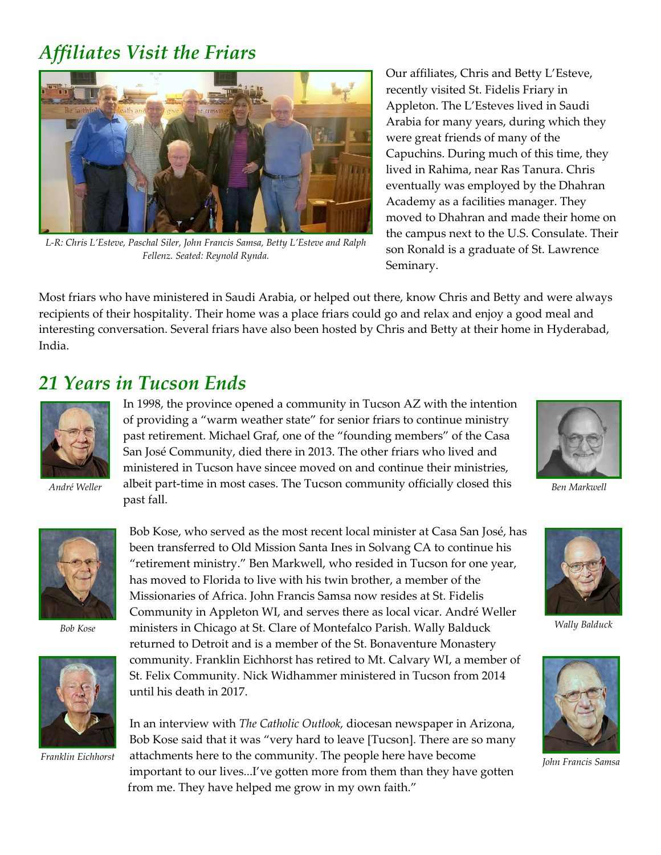### *Affiliates Visit the Friars*



*L-R: Chris L'Esteve, Paschal Siler, John Francis Samsa, Betty L'Esteve and Ralph Fellenz. Seated: Reynold Rynda.*

Our affiliates, Chris and Betty L'Esteve, recently visited St. Fidelis Friary in Appleton. The L'Esteves lived in Saudi Arabia for many years, during which they were great friends of many of the Capuchins. During much of this time, they lived in Rahima, near Ras Tanura. Chris eventually was employed by the Dhahran Academy as a facilities manager. They moved to Dhahran and made their home on the campus next to the U.S. Consulate. Their son Ronald is a graduate of St. Lawrence Seminary.

Most friars who have ministered in Saudi Arabia, or helped out there, know Chris and Betty and were always recipients of their hospitality. Their home was a place friars could go and relax and enjoy a good meal and interesting conversation. Several friars have also been hosted by Chris and Betty at their home in Hyderabad, India.

#### *21 Years in Tucson Ends*



*André Weller Ben Markwell* albeit part-time in most cases. The Tucson community officially closed this In 1998, the province opened a community in Tucson AZ with the intention of providing a "warm weather state" for senior friars to continue ministry past retirement. Michael Graf, one of the "founding members" of the Casa San José Community, died there in 2013. The other friars who lived and ministered in Tucson have sincee moved on and continue their ministries, past fall.





*Bob Kose*



Bob Kose, who served as the most recent local minister at Casa San José, has been transferred to Old Mission Santa Ines in Solvang CA to continue his "retirement ministry." Ben Markwell, who resided in Tucson for one year, has moved to Florida to live with his twin brother, a member of the Missionaries of Africa. John Francis Samsa now resides at St. Fidelis Community in Appleton WI, and serves there as local vicar. André Weller ministers in Chicago at St. Clare of Montefalco Parish. Wally Balduck returned to Detroit and is a member of the St. Bonaventure Monastery community. Franklin Eichhorst has retired to Mt. Calvary WI, a member of St. Felix Community. Nick Widhammer ministered in Tucson from 2014 until his death in 2017.

*Franklin Eichhorst* attachments here to the community. The people here have become *John Francis Samsa* In an interview with *The Catholic Outlook,* diocesan newspaper in Arizona, Bob Kose said that it was "very hard to leave [Tucson]. There are so many important to our lives...I've gotten more from them than they have gotten from me. They have helped me grow in my own faith."



*Wally Balduck*

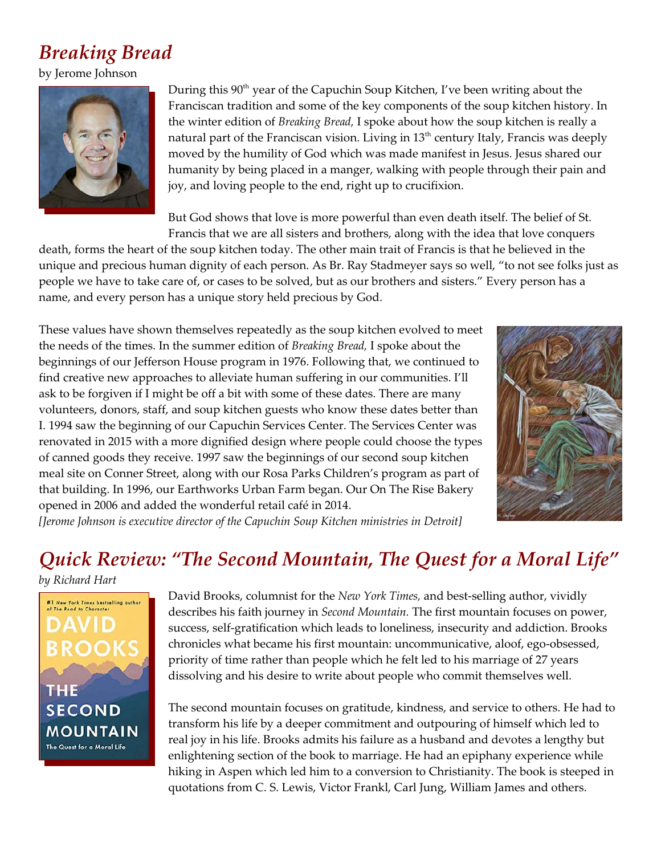# *Breaking Bread*

by Jerome Johnson



During this 90<sup>th</sup> year of the Capuchin Soup Kitchen, I've been writing about the Franciscan tradition and some of the key components of the soup kitchen history. In the winter edition of *Breaking Bread,* I spoke about how the soup kitchen is really a natural part of the Franciscan vision. Living in  $13<sup>th</sup>$  century Italy, Francis was deeply moved by the humility of God which was made manifest in Jesus. Jesus shared our humanity by being placed in a manger, walking with people through their pain and joy, and loving people to the end, right up to crucifixion.

But God shows that love is more powerful than even death itself. The belief of St. Francis that we are all sisters and brothers, along with the idea that love conquers

death, forms the heart of the soup kitchen today. The other main trait of Francis is that he believed in the unique and precious human dignity of each person. As Br. Ray Stadmeyer says so well, "to not see folks just as people we have to take care of, or cases to be solved, but as our brothers and sisters." Every person has a name, and every person has a unique story held precious by God.

These values have shown themselves repeatedly as the soup kitchen evolved to meet the needs of the times. In the summer edition of *Breaking Bread,* I spoke about the beginnings of our Jefferson House program in 1976. Following that, we continued to find creative new approaches to alleviate human suffering in our communities. I'll ask to be forgiven if I might be off a bit with some of these dates. There are many volunteers, donors, staff, and soup kitchen guests who know these dates better than I. 1994 saw the beginning of our Capuchin Services Center. The Services Center was renovated in 2015 with a more dignified design where people could choose the types of canned goods they receive. 1997 saw the beginnings of our second soup kitchen meal site on Conner Street, along with our Rosa Parks Children's program as part of that building. In 1996, our Earthworks Urban Farm began. Our On The Rise Bakery opened in 2006 and added the wonderful retail café in 2014.



*[Jerome Johnson is executive director of the Capuchin Soup Kitchen ministries in Detroit]*

## *Quick Review: "The Second Mountain, The Quest for a Moral Life"*

*by Richard Hart*



David Brooks, columnist for the *New York Times,* and best-selling author, vividly describes his faith journey in *Second Mountain.* The first mountain focuses on power, success, self-gratification which leads to loneliness, insecurity and addiction. Brooks chronicles what became his first mountain: uncommunicative, aloof, ego-obsessed, priority of time rather than people which he felt led to his marriage of 27 years dissolving and his desire to write about people who commit themselves well.

The second mountain focuses on gratitude, kindness, and service to others. He had to transform his life by a deeper commitment and outpouring of himself which led to real joy in his life. Brooks admits his failure as a husband and devotes a lengthy but enlightening section of the book to marriage. He had an epiphany experience while hiking in Aspen which led him to a conversion to Christianity. The book is steeped in quotations from C. S. Lewis, Victor Frankl, Carl Jung, William James and others.